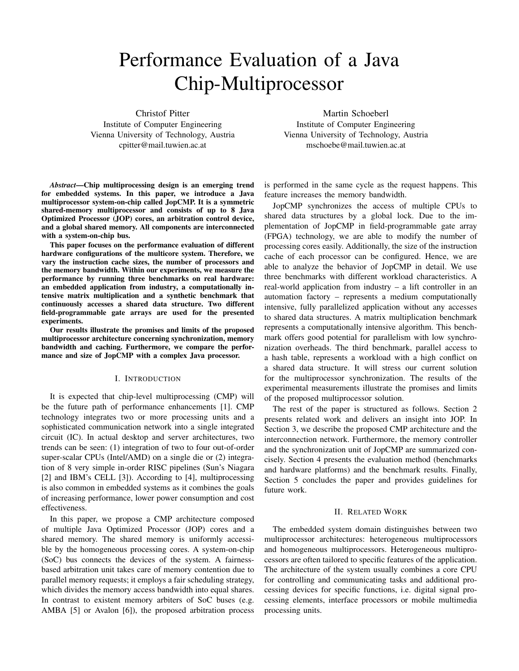# Performance Evaluation of a Java Chip-Multiprocessor

Christof Pitter Institute of Computer Engineering Vienna University of Technology, Austria cpitter@mail.tuwien.ac.at

Martin Schoeberl Institute of Computer Engineering Vienna University of Technology, Austria mschoebe@mail.tuwien.ac.at

*Abstract*—Chip multiprocessing design is an emerging trend for embedded systems. In this paper, we introduce a Java multiprocessor system-on-chip called JopCMP. It is a symmetric shared-memory multiprocessor and consists of up to 8 Java Optimized Processor (JOP) cores, an arbitration control device, and a global shared memory. All components are interconnected with a system-on-chip bus.

This paper focuses on the performance evaluation of different hardware configurations of the multicore system. Therefore, we vary the instruction cache sizes, the number of processors and the memory bandwidth. Within our experiments, we measure the performance by running three benchmarks on real hardware: an embedded application from industry, a computationally intensive matrix multiplication and a synthetic benchmark that continuously accesses a shared data structure. Two different field-programmable gate arrays are used for the presented experiments.

Our results illustrate the promises and limits of the proposed multiprocessor architecture concerning synchronization, memory bandwidth and caching. Furthermore, we compare the performance and size of JopCMP with a complex Java processor.

# I. INTRODUCTION

It is expected that chip-level multiprocessing (CMP) will be the future path of performance enhancements [1]. CMP technology integrates two or more processing units and a sophisticated communication network into a single integrated circuit (IC). In actual desktop and server architectures, two trends can be seen: (1) integration of two to four out-of-order super-scalar CPUs (Intel/AMD) on a single die or (2) integration of 8 very simple in-order RISC pipelines (Sun's Niagara [2] and IBM's CELL [3]). According to [4], multiprocessing is also common in embedded systems as it combines the goals of increasing performance, lower power consumption and cost effectiveness.

In this paper, we propose a CMP architecture composed of multiple Java Optimized Processor (JOP) cores and a shared memory. The shared memory is uniformly accessible by the homogeneous processing cores. A system-on-chip (SoC) bus connects the devices of the system. A fairnessbased arbitration unit takes care of memory contention due to parallel memory requests; it employs a fair scheduling strategy, which divides the memory access bandwidth into equal shares. In contrast to existent memory arbiters of SoC buses (e.g. AMBA [5] or Avalon [6]), the proposed arbitration process is performed in the same cycle as the request happens. This feature increases the memory bandwidth.

JopCMP synchronizes the access of multiple CPUs to shared data structures by a global lock. Due to the implementation of JopCMP in field-programmable gate array (FPGA) technology, we are able to modify the number of processing cores easily. Additionally, the size of the instruction cache of each processor can be configured. Hence, we are able to analyze the behavior of JopCMP in detail. We use three benchmarks with different workload characteristics. A real-world application from industry – a lift controller in an automation factory – represents a medium computationally intensive, fully parallelized application without any accesses to shared data structures. A matrix multiplication benchmark represents a computationally intensive algorithm. This benchmark offers good potential for parallelism with low synchronization overheads. The third benchmark, parallel access to a hash table, represents a workload with a high conflict on a shared data structure. It will stress our current solution for the multiprocessor synchronization. The results of the experimental measurements illustrate the promises and limits of the proposed multiprocessor solution.

The rest of the paper is structured as follows. Section 2 presents related work and delivers an insight into JOP. In Section 3, we describe the proposed CMP architecture and the interconnection network. Furthermore, the memory controller and the synchronization unit of JopCMP are summarized concisely. Section 4 presents the evaluation method (benchmarks and hardware platforms) and the benchmark results. Finally, Section 5 concludes the paper and provides guidelines for future work.

#### II. RELATED WORK

The embedded system domain distinguishes between two multiprocessor architectures: heterogeneous multiprocessors and homogeneous multiprocessors. Heterogeneous multiprocessors are often tailored to specific features of the application. The architecture of the system usually combines a core CPU for controlling and communicating tasks and additional processing devices for specific functions, i.e. digital signal processing elements, interface processors or mobile multimedia processing units.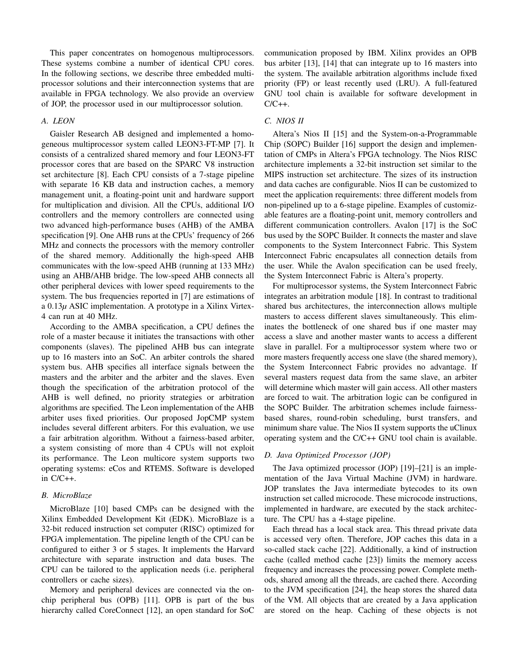This paper concentrates on homogenous multiprocessors. These systems combine a number of identical CPU cores. In the following sections, we describe three embedded multiprocessor solutions and their interconnection systems that are available in FPGA technology. We also provide an overview of JOP, the processor used in our multiprocessor solution.

# *A. LEON*

Gaisler Research AB designed and implemented a homogeneous multiprocessor system called LEON3-FT-MP [7]. It consists of a centralized shared memory and four LEON3-FT processor cores that are based on the SPARC V8 instruction set architecture [8]. Each CPU consists of a 7-stage pipeline with separate 16 KB data and instruction caches, a memory management unit, a floating-point unit and hardware support for multiplication and division. All the CPUs, additional I/O controllers and the memory controllers are connected using two advanced high-performance buses (AHB) of the AMBA specification [9]. One AHB runs at the CPUs' frequency of 266 MHz and connects the processors with the memory controller of the shared memory. Additionally the high-speed AHB communicates with the low-speed AHB (running at 133 MHz) using an AHB/AHB bridge. The low-speed AHB connects all other peripheral devices with lower speed requirements to the system. The bus frequencies reported in [7] are estimations of a 0.13*µ* ASIC implementation. A prototype in a Xilinx Virtex-4 can run at 40 MHz.

According to the AMBA specification, a CPU defines the role of a master because it initiates the transactions with other components (slaves). The pipelined AHB bus can integrate up to 16 masters into an SoC. An arbiter controls the shared system bus. AHB specifies all interface signals between the masters and the arbiter and the arbiter and the slaves. Even though the specification of the arbitration protocol of the AHB is well defined, no priority strategies or arbitration algorithms are specified. The Leon implementation of the AHB arbiter uses fixed priorities. Our proposed JopCMP system includes several different arbiters. For this evaluation, we use a fair arbitration algorithm. Without a fairness-based arbiter, a system consisting of more than 4 CPUs will not exploit its performance. The Leon multicore system supports two operating systems: eCos and RTEMS. Software is developed in C/C++.

# *B. MicroBlaze*

MicroBlaze [10] based CMPs can be designed with the Xilinx Embedded Development Kit (EDK). MicroBlaze is a 32-bit reduced instruction set computer (RISC) optimized for FPGA implementation. The pipeline length of the CPU can be configured to either 3 or 5 stages. It implements the Harvard architecture with separate instruction and data buses. The CPU can be tailored to the application needs (i.e. peripheral controllers or cache sizes).

Memory and peripheral devices are connected via the onchip peripheral bus (OPB) [11]. OPB is part of the bus hierarchy called CoreConnect [12], an open standard for SoC communication proposed by IBM. Xilinx provides an OPB bus arbiter [13], [14] that can integrate up to 16 masters into the system. The available arbitration algorithms include fixed priority (FP) or least recently used (LRU). A full-featured GNU tool chain is available for software development in  $C/C++$ .

# *C. NIOS II*

Altera's Nios II [15] and the System-on-a-Programmable Chip (SOPC) Builder [16] support the design and implementation of CMPs in Altera's FPGA technology. The Nios RISC architecture implements a 32-bit instruction set similar to the MIPS instruction set architecture. The sizes of its instruction and data caches are configurable. Nios II can be customized to meet the application requirements: three different models from non-pipelined up to a 6-stage pipeline. Examples of customizable features are a floating-point unit, memory controllers and different communication controllers. Avalon [17] is the SoC bus used by the SOPC Builder. It connects the master and slave components to the System Interconnect Fabric. This System Interconnect Fabric encapsulates all connection details from the user. While the Avalon specification can be used freely, the System Interconnect Fabric is Altera's property.

For multiprocessor systems, the System Interconnect Fabric integrates an arbitration module [18]. In contrast to traditional shared bus architectures, the interconnection allows multiple masters to access different slaves simultaneously. This eliminates the bottleneck of one shared bus if one master may access a slave and another master wants to access a different slave in parallel. For a multiprocessor system where two or more masters frequently access one slave (the shared memory), the System Interconnect Fabric provides no advantage. If several masters request data from the same slave, an arbiter will determine which master will gain access. All other masters are forced to wait. The arbitration logic can be configured in the SOPC Builder. The arbitration schemes include fairnessbased shares, round-robin scheduling, burst transfers, and minimum share value. The Nios II system supports the uClinux operating system and the C/C++ GNU tool chain is available.

# *D. Java Optimized Processor (JOP)*

The Java optimized processor (JOP) [19]–[21] is an implementation of the Java Virtual Machine (JVM) in hardware. JOP translates the Java intermediate bytecodes to its own instruction set called microcode. These microcode instructions, implemented in hardware, are executed by the stack architecture. The CPU has a 4-stage pipeline.

Each thread has a local stack area. This thread private data is accessed very often. Therefore, JOP caches this data in a so-called stack cache [22]. Additionally, a kind of instruction cache (called method cache [23]) limits the memory access frequency and increases the processing power. Complete methods, shared among all the threads, are cached there. According to the JVM specification [24], the heap stores the shared data of the VM. All objects that are created by a Java application are stored on the heap. Caching of these objects is not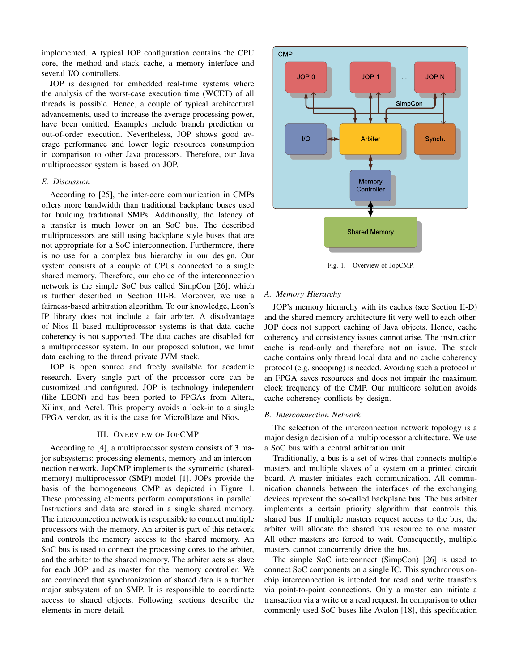implemented. A typical JOP configuration contains the CPU core, the method and stack cache, a memory interface and several I/O controllers.

JOP is designed for embedded real-time systems where the analysis of the worst-case execution time (WCET) of all threads is possible. Hence, a couple of typical architectural advancements, used to increase the average processing power, have been omitted. Examples include branch prediction or out-of-order execution. Nevertheless, JOP shows good average performance and lower logic resources consumption in comparison to other Java processors. Therefore, our Java multiprocessor system is based on JOP.

# *E. Discussion*

According to [25], the inter-core communication in CMPs offers more bandwidth than traditional backplane buses used for building traditional SMPs. Additionally, the latency of a transfer is much lower on an SoC bus. The described multiprocessors are still using backplane style buses that are not appropriate for a SoC interconnection. Furthermore, there is no use for a complex bus hierarchy in our design. Our system consists of a couple of CPUs connected to a single shared memory. Therefore, our choice of the interconnection network is the simple SoC bus called SimpCon [26], which is further described in Section III-B. Moreover, we use a fairness-based arbitration algorithm. To our knowledge, Leon's IP library does not include a fair arbiter. A disadvantage of Nios II based multiprocessor systems is that data cache coherency is not supported. The data caches are disabled for a multiprocessor system. In our proposed solution, we limit data caching to the thread private JVM stack.

JOP is open source and freely available for academic research. Every single part of the processor core can be customized and configured. JOP is technology independent (like LEON) and has been ported to FPGAs from Altera, Xilinx, and Actel. This property avoids a lock-in to a single FPGA vendor, as it is the case for MicroBlaze and Nios.

# III. OVERVIEW OF JOPCMP

According to [4], a multiprocessor system consists of 3 major subsystems: processing elements, memory and an interconnection network. JopCMP implements the symmetric (sharedmemory) multiprocessor (SMP) model [1]. JOPs provide the basis of the homogeneous CMP as depicted in Figure 1. These processing elements perform computations in parallel. Instructions and data are stored in a single shared memory. The interconnection network is responsible to connect multiple processors with the memory. An arbiter is part of this network and controls the memory access to the shared memory. An SoC bus is used to connect the processing cores to the arbiter, and the arbiter to the shared memory. The arbiter acts as slave for each JOP and as master for the memory controller. We are convinced that synchronization of shared data is a further major subsystem of an SMP. It is responsible to coordinate access to shared objects. Following sections describe the elements in more detail.



Fig. 1. Overview of JopCMP.

## *A. Memory Hierarchy*

JOP's memory hierarchy with its caches (see Section II-D) and the shared memory architecture fit very well to each other. JOP does not support caching of Java objects. Hence, cache coherency and consistency issues cannot arise. The instruction cache is read-only and therefore not an issue. The stack cache contains only thread local data and no cache coherency protocol (e.g. snooping) is needed. Avoiding such a protocol in an FPGA saves resources and does not impair the maximum clock frequency of the CMP. Our multicore solution avoids cache coherency conflicts by design.

#### *B. Interconnection Network*

The selection of the interconnection network topology is a major design decision of a multiprocessor architecture. We use a SoC bus with a central arbitration unit.

Traditionally, a bus is a set of wires that connects multiple masters and multiple slaves of a system on a printed circuit board. A master initiates each communication. All communication channels between the interfaces of the exchanging devices represent the so-called backplane bus. The bus arbiter implements a certain priority algorithm that controls this shared bus. If multiple masters request access to the bus, the arbiter will allocate the shared bus resource to one master. All other masters are forced to wait. Consequently, multiple masters cannot concurrently drive the bus.

The simple SoC interconnect (SimpCon) [26] is used to connect SoC components on a single IC. This synchronous onchip interconnection is intended for read and write transfers via point-to-point connections. Only a master can initiate a transaction via a write or a read request. In comparison to other commonly used SoC buses like Avalon [18], this specification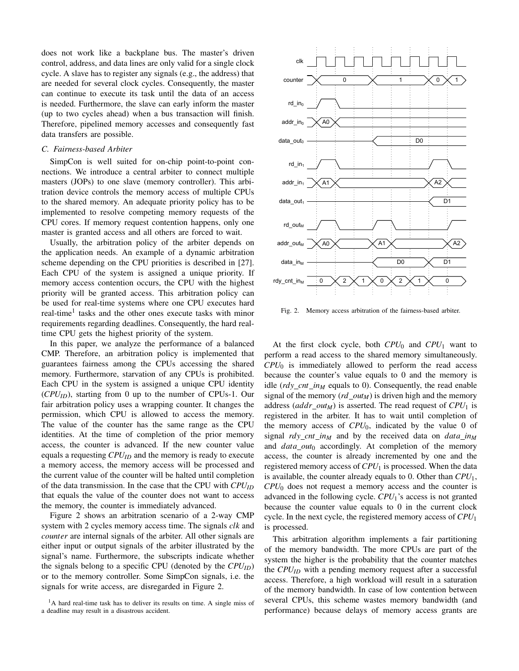does not work like a backplane bus. The master's driven control, address, and data lines are only valid for a single clock cycle. A slave has to register any signals (e.g., the address) that are needed for several clock cycles. Consequently, the master can continue to execute its task until the data of an access is needed. Furthermore, the slave can early inform the master (up to two cycles ahead) when a bus transaction will finish. Therefore, pipelined memory accesses and consequently fast data transfers are possible.

#### *C. Fairness-based Arbiter*

SimpCon is well suited for on-chip point-to-point connections. We introduce a central arbiter to connect multiple masters (JOPs) to one slave (memory controller). This arbitration device controls the memory access of multiple CPUs to the shared memory. An adequate priority policy has to be implemented to resolve competing memory requests of the CPU cores. If memory request contention happens, only one master is granted access and all others are forced to wait.

Usually, the arbitration policy of the arbiter depends on the application needs. An example of a dynamic arbitration scheme depending on the CPU priorities is described in [27]. Each CPU of the system is assigned a unique priority. If memory access contention occurs, the CPU with the highest priority will be granted access. This arbitration policy can be used for real-time systems where one CPU executes hard real-time<sup>1</sup> tasks and the other ones execute tasks with minor requirements regarding deadlines. Consequently, the hard realtime CPU gets the highest priority of the system.

In this paper, we analyze the performance of a balanced CMP. Therefore, an arbitration policy is implemented that guarantees fairness among the CPUs accessing the shared memory. Furthermore, starvation of any CPUs is prohibited. Each CPU in the system is assigned a unique CPU identity (*CPUID*), starting from 0 up to the number of CPUs-1. Our fair arbitration policy uses a wrapping counter. It changes the permission, which CPU is allowed to access the memory. The value of the counter has the same range as the CPU identities. At the time of completion of the prior memory access, the counter is advanced. If the new counter value equals a requesting *CPUID* and the memory is ready to execute a memory access, the memory access will be processed and the current value of the counter will be halted until completion of the data transmission. In the case that the CPU with *CPUID* that equals the value of the counter does not want to access the memory, the counter is immediately advanced.

Figure 2 shows an arbitration scenario of a 2-way CMP system with 2 cycles memory access time. The signals *clk* and *counter* are internal signals of the arbiter. All other signals are either input or output signals of the arbiter illustrated by the signal's name. Furthermore, the subscripts indicate whether the signals belong to a specific CPU (denoted by the *CPUID*) or to the memory controller. Some SimpCon signals, i.e. the signals for write access, are disregarded in Figure 2.



Fig. 2. Memory access arbitration of the fairness-based arbiter.

At the first clock cycle, both  $CPU_0$  and  $CPU_1$  want to perform a read access to the shared memory simultaneously. *CPU*<sup>0</sup> is immediately allowed to perform the read access because the counter's value equals to 0 and the memory is idle (*rdy cnt in<sup>M</sup>* equals to 0). Consequently, the read enable signal of the memory  $\left(\frac{rd\_out_M}{\right)$  is driven high and the memory address (*addr\_out<sub>M</sub>*) is asserted. The read request of  $CPU_1$  is registered in the arbiter. It has to wait until completion of the memory access of  $CPU_0$ , indicated by the value 0 of signal  $\frac{rdy_cnt_i}{m}$  and by the received data on  $\frac{data_i}{m}$ and *data\_out*<sub>0</sub> accordingly. At completion of the memory access, the counter is already incremented by one and the registered memory access of *CPU*<sup>1</sup> is processed. When the data is available, the counter already equals to 0. Other than *CPU*1, *CPU*<sup>0</sup> does not request a memory access and the counter is advanced in the following cycle. *CPU*1's access is not granted because the counter value equals to 0 in the current clock cycle. In the next cycle, the registered memory access of *CPU*<sup>1</sup> is processed.

This arbitration algorithm implements a fair partitioning of the memory bandwidth. The more CPUs are part of the system the higher is the probability that the counter matches the *CPUID* with a pending memory request after a successful access. Therefore, a high workload will result in a saturation of the memory bandwidth. In case of low contention between several CPUs, this scheme wastes memory bandwidth (and performance) because delays of memory access grants are

<sup>&</sup>lt;sup>1</sup>A hard real-time task has to deliver its results on time. A single miss of a deadline may result in a disastrous accident.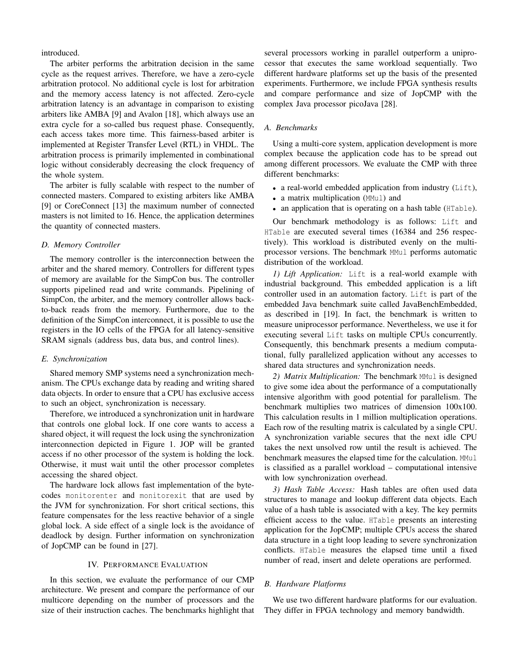introduced.

The arbiter performs the arbitration decision in the same cycle as the request arrives. Therefore, we have a zero-cycle arbitration protocol. No additional cycle is lost for arbitration and the memory access latency is not affected. Zero-cycle arbitration latency is an advantage in comparison to existing arbiters like AMBA [9] and Avalon [18], which always use an extra cycle for a so-called bus request phase. Consequently, each access takes more time. This fairness-based arbiter is implemented at Register Transfer Level (RTL) in VHDL. The arbitration process is primarily implemented in combinational logic without considerably decreasing the clock frequency of the whole system.

The arbiter is fully scalable with respect to the number of connected masters. Compared to existing arbiters like AMBA [9] or CoreConnect [13] the maximum number of connected masters is not limited to 16. Hence, the application determines the quantity of connected masters.

#### *D. Memory Controller*

The memory controller is the interconnection between the arbiter and the shared memory. Controllers for different types of memory are available for the SimpCon bus. The controller supports pipelined read and write commands. Pipelining of SimpCon, the arbiter, and the memory controller allows backto-back reads from the memory. Furthermore, due to the definition of the SimpCon interconnect, it is possible to use the registers in the IO cells of the FPGA for all latency-sensitive SRAM signals (address bus, data bus, and control lines).

#### *E. Synchronization*

Shared memory SMP systems need a synchronization mechanism. The CPUs exchange data by reading and writing shared data objects. In order to ensure that a CPU has exclusive access to such an object, synchronization is necessary.

Therefore, we introduced a synchronization unit in hardware that controls one global lock. If one core wants to access a shared object, it will request the lock using the synchronization interconnection depicted in Figure 1. JOP will be granted access if no other processor of the system is holding the lock. Otherwise, it must wait until the other processor completes accessing the shared object.

The hardware lock allows fast implementation of the bytecodes monitorenter and monitorexit that are used by the JVM for synchronization. For short critical sections, this feature compensates for the less reactive behavior of a single global lock. A side effect of a single lock is the avoidance of deadlock by design. Further information on synchronization of JopCMP can be found in [27].

## IV. PERFORMANCE EVALUATION

In this section, we evaluate the performance of our CMP architecture. We present and compare the performance of our multicore depending on the number of processors and the size of their instruction caches. The benchmarks highlight that

several processors working in parallel outperform a uniprocessor that executes the same workload sequentially. Two different hardware platforms set up the basis of the presented experiments. Furthermore, we include FPGA synthesis results and compare performance and size of JopCMP with the complex Java processor picoJava [28].

# *A. Benchmarks*

Using a multi-core system, application development is more complex because the application code has to be spread out among different processors. We evaluate the CMP with three different benchmarks:

- a real-world embedded application from industry (Lift),
- a matrix multiplication (MMul) and
- an application that is operating on a hash table (HTable).

Our benchmark methodology is as follows: Lift and HTable are executed several times (16384 and 256 respectively). This workload is distributed evenly on the multiprocessor versions. The benchmark MMul performs automatic distribution of the workload.

*1) Lift Application:* Lift is a real-world example with industrial background. This embedded application is a lift controller used in an automation factory. Lift is part of the embedded Java benchmark suite called JavaBenchEmbedded, as described in [19]. In fact, the benchmark is written to measure uniprocessor performance. Nevertheless, we use it for executing several Lift tasks on multiple CPUs concurrently. Consequently, this benchmark presents a medium computational, fully parallelized application without any accesses to shared data structures and synchronization needs.

*2) Matrix Multiplication:* The benchmark MMul is designed to give some idea about the performance of a computationally intensive algorithm with good potential for parallelism. The benchmark multiplies two matrices of dimension 100x100. This calculation results in 1 million multiplication operations. Each row of the resulting matrix is calculated by a single CPU. A synchronization variable secures that the next idle CPU takes the next unsolved row until the result is achieved. The benchmark measures the elapsed time for the calculation. MMul is classified as a parallel workload – computational intensive with low synchronization overhead.

*3) Hash Table Access:* Hash tables are often used data structures to manage and lookup different data objects. Each value of a hash table is associated with a key. The key permits efficient access to the value. HTable presents an interesting application for the JopCMP; multiple CPUs access the shared data structure in a tight loop leading to severe synchronization conflicts. HTable measures the elapsed time until a fixed number of read, insert and delete operations are performed.

### *B. Hardware Platforms*

We use two different hardware platforms for our evaluation. They differ in FPGA technology and memory bandwidth.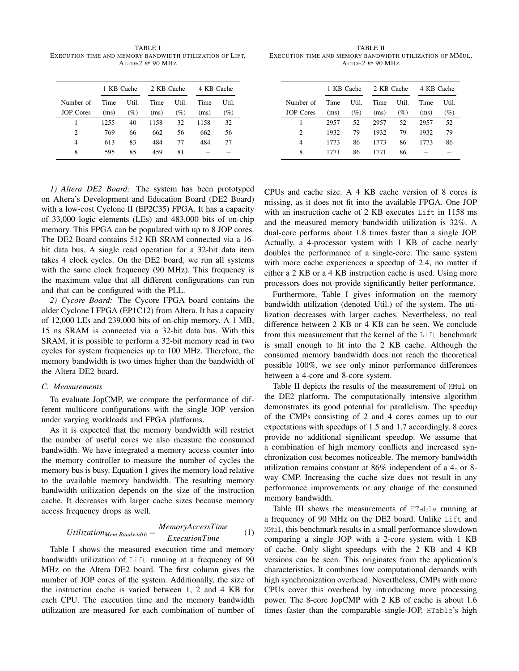TABLE I EXECUTION TIME AND MEMORY BANDWIDTH UTILIZATION OF LIFT, ALTDE2 @ 90 MHZ

|                  | 1 KB Cache |       | 2 KB Cache |       | 4 KB Cache |       |
|------------------|------------|-------|------------|-------|------------|-------|
| Number of        | Time       | Util. | Time       | Util. | Time       | Util. |
| <b>JOP</b> Cores | (ms)       | (%)   | (ms)       | (%)   | (ms)       | (%)   |
| 1                | 1255       | 40    | 1158       | 32    | 1158       | 32    |
| 2                | 769        | 66    | 662        | 56    | 662        | 56    |
| 4                | 613        | 83    | 484        | 77    | 484        | 77    |
| 8                | 595        | 85    | 459        | 81    |            |       |

*1) Altera DE2 Board:* The system has been prototyped on Altera's Development and Education Board (DE2 Board) with a low-cost Cyclone II (EP2C35) FPGA. It has a capacity of 33,000 logic elements (LEs) and 483,000 bits of on-chip memory. This FPGA can be populated with up to 8 JOP cores. The DE2 Board contains 512 KB SRAM connected via a 16 bit data bus. A single read operation for a 32-bit data item takes 4 clock cycles. On the DE2 board, we run all systems with the same clock frequency (90 MHz). This frequency is the maximum value that all different configurations can run and that can be configured with the PLL.

*2) Cycore Board:* The Cycore FPGA board contains the older Cyclone I FPGA (EP1C12) from Altera. It has a capacity of 12,000 LEs and 239,000 bits of on-chip memory. A 1 MB, 15 ns SRAM is connected via a 32-bit data bus. With this SRAM, it is possible to perform a 32-bit memory read in two cycles for system frequencies up to 100 MHz. Therefore, the memory bandwidth is two times higher than the bandwidth of the Altera DE2 board.

# *C. Measurements*

To evaluate JopCMP, we compare the performance of different multicore configurations with the single JOP version under varying workloads and FPGA platforms.

As it is expected that the memory bandwidth will restrict the number of useful cores we also measure the consumed bandwidth. We have integrated a memory access counter into the memory controller to measure the number of cycles the memory bus is busy. Equation 1 gives the memory load relative to the available memory bandwidth. The resulting memory bandwidth utilization depends on the size of the instruction cache. It decreases with larger cache sizes because memory access frequency drops as well.

$$
Utilization_{Mem. Bandwidth} = \frac{MemoryAccessTime}{ExecutionTime}
$$
 (1)

Table I shows the measured execution time and memory bandwidth utilization of Lift running at a frequency of 90 MHz on the Altera DE2 board. The first column gives the number of JOP cores of the system. Additionally, the size of the instruction cache is varied between 1, 2 and 4 KB for each CPU. The execution time and the memory bandwidth utilization are measured for each combination of number of

TABLE II EXECUTION TIME AND MEMORY BANDWIDTH UTILIZATION OF MMUL, ALTDE2 @ 90 MHZ

|                  | 1 KB Cache |       | 2 KB Cache |        | 4 KB Cache |       |
|------------------|------------|-------|------------|--------|------------|-------|
| Number of        | Time       | Util. | Time       | Util.  | Time       | Util. |
| <b>JOP</b> Cores | (ms)       | (%)   | (ms)       | $(\%)$ | (ms)       | (%)   |
|                  | 2957       | 52    | 2957       | 52     | 2957       | 52    |
| $\overline{c}$   | 1932       | 79    | 1932       | 79     | 1932       | 79    |
| 4                | 1773       | 86    | 1773       | 86     | 1773       | 86    |
| 8                | 1771       | 86    | 1771       | 86     |            |       |

CPUs and cache size. A 4 KB cache version of 8 cores is missing, as it does not fit into the available FPGA. One JOP with an instruction cache of 2 KB executes Lift in 1158 ms and the measured memory bandwidth utilization is 32%. A dual-core performs about 1.8 times faster than a single JOP. Actually, a 4-processor system with 1 KB of cache nearly doubles the performance of a single-core. The same system with more cache experiences a speedup of 2.4, no matter if either a 2 KB or a 4 KB instruction cache is used. Using more processors does not provide significantly better performance.

Furthermore, Table I gives information on the memory bandwidth utilization (denoted Util.) of the system. The utilization decreases with larger caches. Nevertheless, no real difference between 2 KB or 4 KB can be seen. We conclude from this measurement that the kernel of the Lift benchmark is small enough to fit into the 2 KB cache. Although the consumed memory bandwidth does not reach the theoretical possible 100%, we see only minor performance differences between a 4-core and 8-core system.

Table II depicts the results of the measurement of MMul on the DE2 platform. The computationally intensive algorithm demonstrates its good potential for parallelism. The speedup of the CMPs consisting of 2 and 4 cores comes up to our expectations with speedups of 1.5 and 1.7 accordingly. 8 cores provide no additional significant speedup. We assume that a combination of high memory conflicts and increased synchronization cost becomes noticeable. The memory bandwidth utilization remains constant at 86% independent of a 4- or 8 way CMP. Increasing the cache size does not result in any performance improvements or any change of the consumed memory bandwidth.

Table III shows the measurements of HTable running at a frequency of 90 MHz on the DE2 board. Unlike Lift and MMul, this benchmark results in a small performance slowdown comparing a single JOP with a 2-core system with 1 KB of cache. Only slight speedups with the 2 KB and 4 KB versions can be seen. This originates from the application's characteristics. It combines low computational demands with high synchronization overhead. Nevertheless, CMPs with more CPUs cover this overhead by introducing more processing power. The 8-core JopCMP with 2 KB of cache is about 1.6 times faster than the comparable single-JOP. HTable's high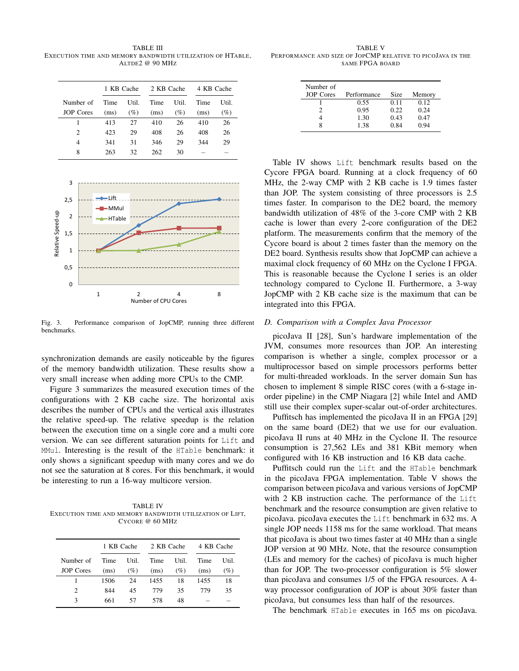TABLE III EXECUTION TIME AND MEMORY BANDWIDTH UTILIZATION OF HTABLE, ALTDE2 @ 90 MHZ

|                  | 1 KB Cache |       | 2 KB Cache |       | 4 KB Cache |       |
|------------------|------------|-------|------------|-------|------------|-------|
| Number of        | Time       | Util. | Time       | Util. | Time       | Util. |
| <b>JOP</b> Cores | (ms)       | (%)   | (ms)       | (%)   | (ms)       | (%)   |
|                  | 413        | 27    | 410        | 26    | 410        | 26    |
| 2                | 423        | 29    | 408        | 26    | 408        | 26    |
| 4                | 341        | 31    | 346        | 29    | 344        | 29    |
| 8                | 263        | 32    | 262        | 30    |            |       |



Fig. 3. Performance comparison of JopCMP, running three different benchmarks.

synchronization demands are easily noticeable by the figures of the memory bandwidth utilization. These results show a very small increase when adding more CPUs to the CMP.

Figure 3 summarizes the measured execution times of the configurations with 2 KB cache size. The horizontal axis describes the number of CPUs and the vertical axis illustrates the relative speed-up. The relative speedup is the relation between the execution time on a single core and a multi core version. We can see different saturation points for Lift and MMul. Interesting is the result of the HTable benchmark: it only shows a significant speedup with many cores and we do not see the saturation at 8 cores. For this benchmark, it would be interesting to run a 16-way multicore version.

TABLE IV EXECUTION TIME AND MEMORY BANDWIDTH UTILIZATION OF LIFT, CYCORE @ 60 MHZ

|                  | 1 KB Cache |       | 2 KB Cache |       | 4 KB Cache |        |
|------------------|------------|-------|------------|-------|------------|--------|
| Number of        | Time       | Util. | Time       | Util. | Time       | Util.  |
| <b>JOP</b> Cores | (ms)       | (%)   | (ms)       | (%)   | (ms)       | $(\%)$ |
|                  | 1506       | 24    | 1455       | 18    | 1455       | 18     |
| 2                | 844        | 45    | 779        | 35    | 779        | 35     |
| 3                | 661        | 57    | 578        | 48    |            |        |

TABLE V PERFORMANCE AND SIZE OF JOPCMP RELATIVE TO PICOJAVA IN THE SAME FPGA BOARD

| Number of<br><b>JOP</b> Cores | Performance | Size | Memory |
|-------------------------------|-------------|------|--------|
|                               | 0.55        | 0.11 | 0.12   |
|                               | 0.95        | 0.22 | 0.24   |
|                               | 1.30        | 0.43 | 0.47   |
|                               | 1.38        | 0.84 | 0.94   |

Table IV shows Lift benchmark results based on the Cycore FPGA board. Running at a clock frequency of 60 MHz, the 2-way CMP with 2 KB cache is 1.9 times faster than JOP. The system consisting of three processors is 2.5 times faster. In comparison to the DE2 board, the memory bandwidth utilization of 48% of the 3-core CMP with 2 KB cache is lower than every 2-core configuration of the DE2 platform. The measurements confirm that the memory of the Cycore board is about 2 times faster than the memory on the DE2 board. Synthesis results show that JopCMP can achieve a maximal clock frequency of 60 MHz on the Cyclone I FPGA. This is reasonable because the Cyclone I series is an older technology compared to Cyclone II. Furthermore, a 3-way JopCMP with 2 KB cache size is the maximum that can be integrated into this FPGA.

# *D. Comparison with a Complex Java Processor*

picoJava II [28], Sun's hardware implementation of the JVM, consumes more resources than JOP. An interesting comparison is whether a single, complex processor or a multiprocessor based on simple processors performs better for multi-threaded workloads. In the server domain Sun has chosen to implement 8 simple RISC cores (with a 6-stage inorder pipeline) in the CMP Niagara [2] while Intel and AMD still use their complex super-scalar out-of-order architectures.

Puffitsch has implemented the picoJava II in an FPGA [29] on the same board (DE2) that we use for our evaluation. picoJava II runs at 40 MHz in the Cyclone II. The resource consumption is 27,562 LEs and 381 KBit memory when configured with 16 KB instruction and 16 KB data cache.

Puffitsch could run the Lift and the HTable benchmark in the picoJava FPGA implementation. Table V shows the comparison between picoJava and various versions of JopCMP with 2 KB instruction cache. The performance of the Lift benchmark and the resource consumption are given relative to picoJava. picoJava executes the Lift benchmark in 632 ms. A single JOP needs 1158 ms for the same workload. That means that picoJava is about two times faster at 40 MHz than a single JOP version at 90 MHz. Note, that the resource consumption (LEs and memory for the caches) of picoJava is much higher than for JOP. The two-processor configuration is 5% slower than picoJava and consumes 1/5 of the FPGA resources. A 4 way processor configuration of JOP is about 30% faster than picoJava, but consumes less than half of the resources.

The benchmark HTable executes in 165 ms on picoJava.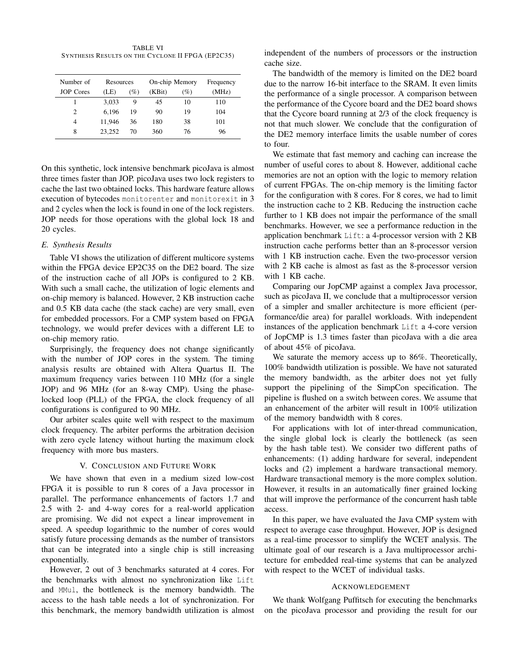TABLE VI SYNTHESIS RESULTS ON THE CYCLONE II FPGA (EP2C35)

| Number of        | Resources |     | On-chip Memory |     | Frequency |
|------------------|-----------|-----|----------------|-----|-----------|
| <b>JOP</b> Cores | (LE)      | (%) | (KBit)         | (%) | (MHz)     |
|                  | 3.033     | 9   | 45             | 10  | 110       |
| 2                | 6.196     | 19  | 90             | 19  | 104       |
| 4                | 11.946    | 36  | 180            | 38  | 101       |
| 8                | 23.252    | 70  | 360            | 76  | 96        |

On this synthetic, lock intensive benchmark picoJava is almost three times faster than JOP. picoJava uses two lock registers to cache the last two obtained locks. This hardware feature allows execution of bytecodes monitorenter and monitorexit in 3 and 2 cycles when the lock is found in one of the lock registers. JOP needs for those operations with the global lock 18 and 20 cycles.

# *E. Synthesis Results*

Table VI shows the utilization of different multicore systems within the FPGA device EP2C35 on the DE2 board. The size of the instruction cache of all JOPs is configured to 2 KB. With such a small cache, the utilization of logic elements and on-chip memory is balanced. However, 2 KB instruction cache and 0.5 KB data cache (the stack cache) are very small, even for embedded processors. For a CMP system based on FPGA technology, we would prefer devices with a different LE to on-chip memory ratio.

Surprisingly, the frequency does not change significantly with the number of JOP cores in the system. The timing analysis results are obtained with Altera Quartus II. The maximum frequency varies between 110 MHz (for a single JOP) and 96 MHz (for an 8-way CMP). Using the phaselocked loop (PLL) of the FPGA, the clock frequency of all configurations is configured to 90 MHz.

Our arbiter scales quite well with respect to the maximum clock frequency. The arbiter performs the arbitration decision with zero cycle latency without hurting the maximum clock frequency with more bus masters.

# V. CONCLUSION AND FUTURE WORK

We have shown that even in a medium sized low-cost FPGA it is possible to run 8 cores of a Java processor in parallel. The performance enhancements of factors 1.7 and 2.5 with 2- and 4-way cores for a real-world application are promising. We did not expect a linear improvement in speed. A speedup logarithmic to the number of cores would satisfy future processing demands as the number of transistors that can be integrated into a single chip is still increasing exponentially.

However, 2 out of 3 benchmarks saturated at 4 cores. For the benchmarks with almost no synchronization like Lift and MMul, the bottleneck is the memory bandwidth. The access to the hash table needs a lot of synchronization. For this benchmark, the memory bandwidth utilization is almost independent of the numbers of processors or the instruction cache size.

The bandwidth of the memory is limited on the DE2 board due to the narrow 16-bit interface to the SRAM. It even limits the performance of a single processor. A comparison between the performance of the Cycore board and the DE2 board shows that the Cycore board running at 2/3 of the clock frequency is not that much slower. We conclude that the configuration of the DE2 memory interface limits the usable number of cores to four.

We estimate that fast memory and caching can increase the number of useful cores to about 8. However, additional cache memories are not an option with the logic to memory relation of current FPGAs. The on-chip memory is the limiting factor for the configuration with 8 cores. For 8 cores, we had to limit the instruction cache to 2 KB. Reducing the instruction cache further to 1 KB does not impair the performance of the small benchmarks. However, we see a performance reduction in the application benchmark Lift: a 4-processor version with 2 KB instruction cache performs better than an 8-processor version with 1 KB instruction cache. Even the two-processor version with 2 KB cache is almost as fast as the 8-processor version with 1 KB cache.

Comparing our JopCMP against a complex Java processor, such as picoJava II, we conclude that a multiprocessor version of a simpler and smaller architecture is more efficient (performance/die area) for parallel workloads. With independent instances of the application benchmark Lift a 4-core version of JopCMP is 1.3 times faster than picoJava with a die area of about 45% of picoJava.

We saturate the memory access up to 86%. Theoretically, 100% bandwidth utilization is possible. We have not saturated the memory bandwidth, as the arbiter does not yet fully support the pipelining of the SimpCon specification. The pipeline is flushed on a switch between cores. We assume that an enhancement of the arbiter will result in 100% utilization of the memory bandwidth with 8 cores.

For applications with lot of inter-thread communication, the single global lock is clearly the bottleneck (as seen by the hash table test). We consider two different paths of enhancements: (1) adding hardware for several, independent locks and (2) implement a hardware transactional memory. Hardware transactional memory is the more complex solution. However, it results in an automatically finer grained locking that will improve the performance of the concurrent hash table access.

In this paper, we have evaluated the Java CMP system with respect to average case throughput. However, JOP is designed as a real-time processor to simplify the WCET analysis. The ultimate goal of our research is a Java multiprocessor architecture for embedded real-time systems that can be analyzed with respect to the WCET of individual tasks.

#### ACKNOWLEDGEMENT

We thank Wolfgang Puffitsch for executing the benchmarks on the picoJava processor and providing the result for our